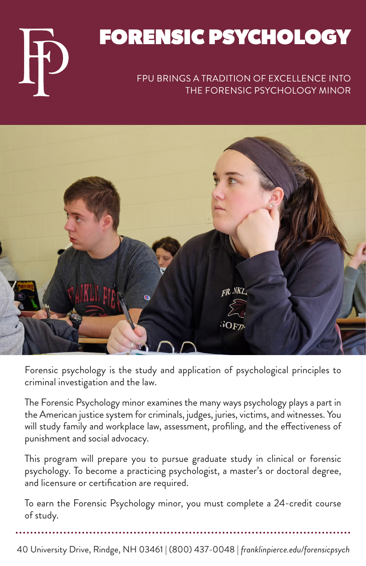# FORENSIC PSYCHOLOGY

#### FPU BRINGS A TRADITION OF EXCELLENCE INTO THE FORENSIC PSYCHOLOGY MINOR



Forensic psychology is the study and application of psychological principles to criminal investigation and the law.

The Forensic Psychology minor examines the many ways psychology plays a part in the American justice system for criminals, judges, juries, victims, and witnesses. You will study family and workplace law, assessment, profiling, and the effectiveness of punishment and social advocacy.

This program will prepare you to pursue graduate study in clinical or forensic psychology. To become a practicing psychologist, a master's or doctoral degree, and licensure or certification are required.

To earn the Forensic Psychology minor, you must complete a 24-credit course of study.

40 University Drive, Rindge, NH 03461 | (800) 437-0048 | *franklinpierce.edu/forensicpsych*